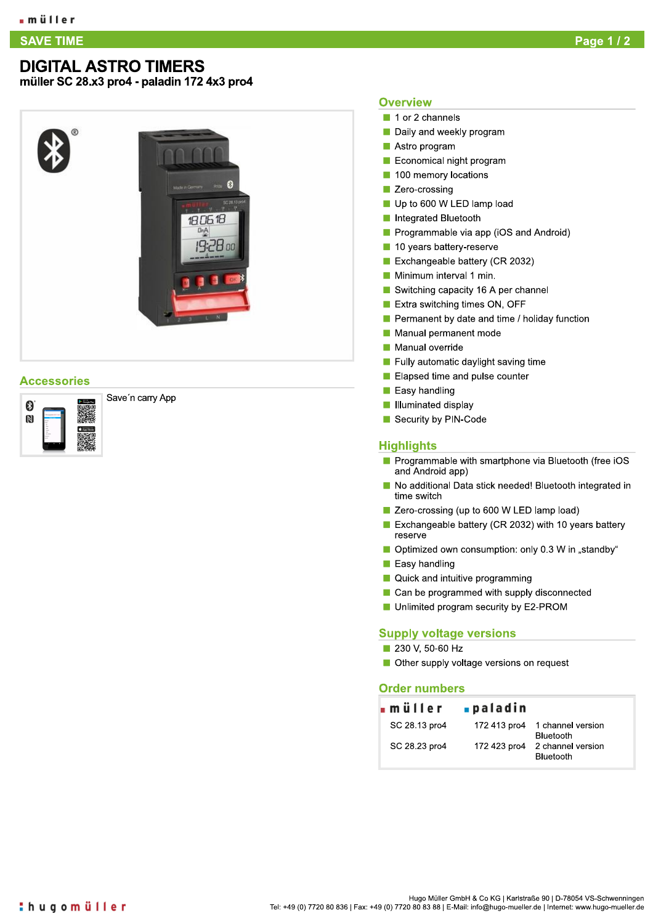## **SAVE TIME** E TIME Page to the contract of the contract of the contract of the contract of the contract of the contract of

# **DIGITAL ASTRO TIMERS**<br>müller SC 28.x3 pro4 - paladin 172 4x3 pro4

G

1806.18

19:28 00

%%&&"& '()\*+,-.(//0-122

# **Overview**

- $\blacksquare$  1 or 2 channels
- $\blacksquare$  Daily and weekly program
- $\blacksquare$  Astro program
- Economical night program
- **100 memory locations**
- **E** Zero-crossing
- Up to 600 W LED lamp load
- 
- 
- 
- 
- 
- 
- 
- Astro program<br>
 Economical night program<br>
 100 memory locations<br>
 Zero-crossing<br>
 Up to 600 W LED lamp load<br>
 Integrated Bluetooth<br>
 Programmable via app (iOS and Android)<br>
 10 years battery-reserve<br>
 Exchangeab
	-
	-
	-
	-
	-
	-
	-

# **Highlights**

- Manual permanent mo<br>
Manual override<br>
Fully automatic dayligh<br>
Elapsed time and pulse<br>
Easy handling<br>
Illuminated display<br>
Security by PIN-Code<br>
Highlights<br>
Programmable with sm<br>
and Android app)<br>
No additional Data stic<br> and Android app) Programmable with smartphone via Bluetooth (free iOS
	- $\blacksquare$  No additional Data stick needed! Bluetooth integrated in time switch
	- $\blacksquare$  Zero-crossing (up to 600 W LED lamp load)
	- Elapsed time and pulse counter<br>
	Easy handling<br>
	Illuminated display<br>
	Security by PIN-Code<br> **yhlights**<br>
	Programmable with smartphone via Bluetooth (free iOS<br>
	and Android app)<br>
	No additional Data stick needed! Bluetooth integ Exchangeable battery (CR 2032) with 10 years battery reserve
	- $\blacksquare$  Optimized own consumption: only 0.3 W in "standby"
	- $\blacksquare$  Easy handling
	- **No. 2** Quick and intuitive programming
	- $\blacksquare$  Can be programmed with supply disconnected
	- **G** Unlimited program security by E2-PROM

# <u>Supply voltage versions</u>

- $\blacksquare$  230 V, 50-60 HZ
- Other supply voltage versions on request

## **Order numbers**

|               | müller paladin |                                       |
|---------------|----------------|---------------------------------------|
| SC 28.13 pro4 | 172 413 pro4   | 1 channel version<br><b>Bluetooth</b> |
| SC 28.23 pro4 | 172 423 pro4   | 2 channel version<br>Bluetooth        |